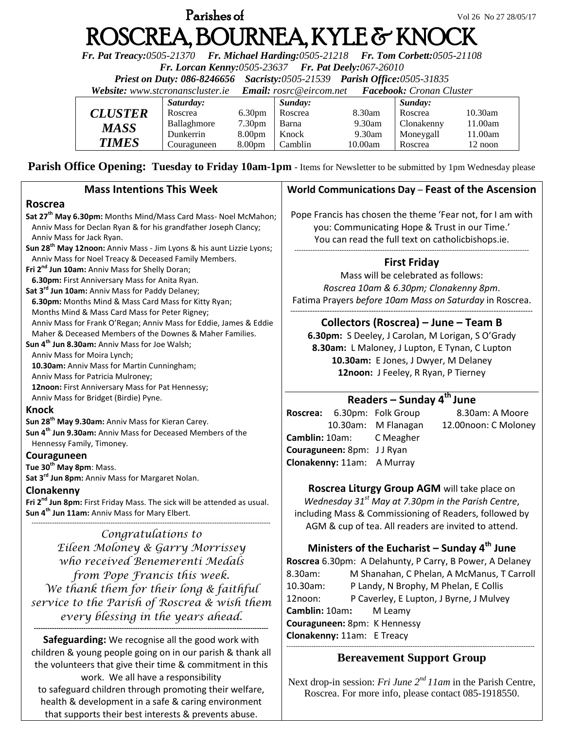# **Parishes of**  $V$ ol 26 No 27 28/05/17 ROSCREA, BOURNEA, KYLE & KNOCK

*Fr. Pat Treacy:0505-21370 Fr. Michael Harding:0505-21218 Fr. Tom Corbett:0505-21108* 

*Fr. Lorcan Kenny:0505-23637 Fr. Pat Deely:067-26010* 

*Priest on Duty: 086-8246656 Sacristy:0505-21539 Parish Office:0505-31835* 

*Website: [www.stcronanscluster.ie](http://www.stcronanscluster.ie/) Email: [rosrc@eircom.net](mailto:rosrc@eircom.net) Facebook: Cronan Cluster* 

|                | Saturday:   |                    | Sunday: |         | Sunday:    |            |
|----------------|-------------|--------------------|---------|---------|------------|------------|
| <b>CLUSTER</b> | Roscrea     | 6.30 <sub>pm</sub> | Roscrea | 8.30am  | Roscrea    | $10.30$ am |
| MASS           | Ballaghmore | 7.30pm             | Barna   | 9.30am  | Clonakenny | 11.00am    |
|                | Dunkerrin   | 8.00 <sub>pm</sub> | Knock   | 9.30am  | Moneygall  | 11.00am    |
| <b>TIMES</b>   | Couraguneen | 8.00 <sub>pm</sub> | Camblin | 10.00am | Roscrea    | 12 noon    |

**Parish Office Opening: Tuesday to Friday 10am-1pm** - Items for Newsletter to be submitted by 1pm Wednesday please

#### **Mass Intentions This Week Roscrea Sat 27th May 6.30pm:** Months Mind/Mass Card Mass- Noel McMahon; Anniv Mass for Declan Ryan & for his grandfather Joseph Clancy; Anniv Mass for Jack Ryan. **Sun 28th May 12noon:** Anniv Mass - Jim Lyons & his aunt Lizzie Lyons; Anniv Mass for Noel Treacy & Deceased Family Members. **Fri 2nd Jun 10am:** Anniv Mass for Shelly Doran; **6.30pm:** First Anniversary Mass for Anita Ryan. **Sat 3rd Jun 10am:** Anniv Mass for Paddy Delaney; **6.30pm:** Months Mind & Mass Card Mass for Kitty Ryan; Months Mind & Mass Card Mass for Peter Rigney; Anniv Mass for Frank O'Regan; Anniv Mass for Eddie, James & Eddie Maher & Deceased Members of the Downes & Maher Families. **Sun 4th Jun 8.30am:** Anniv Mass for Joe Walsh; Anniv Mass for Moira Lynch; **10.30am:** Anniv Mass for Martin Cunningham; Anniv Mass for Patricia Mulroney; **12noon:** First Anniversary Mass for Pat Hennessy; Anniv Mass for Bridget (Birdie) Pyne. **Knock Sun 28th May 9.30am:** Anniv Mass for Kieran Carey. **Sun 4th Jun 9.30am:** Anniv Mass for Deceased Members of the Hennessy Family, Timoney. **Couraguneen Tue 30th May 8pm**: Mass. **Sat 3rd Jun 8pm:** Anniv Mass for Margaret Nolan. **Clonakenny Fri 2nd Jun 8pm:** First Friday Mass. The sick will be attended as usual. **Sun 4th Jun 11am:** Anniv Mass for Mary Elbert. ---------------------------------------------------------------------------------------------------------- *Congratulations to*  -------------------------------------------------------------------------------------------------------- **First Friday** --------------------------------------------------------------------------------------------------- **Roscrea:** 6.30pm: Folk Group 8.30am: A Moore 10.30am: M Flanagan 12.00noon: C Moloney **Camblin:** 10am: C Meagher **Couraguneen:** 8pm: J J Ryan **Clonakenny:** 11am: A Murray

*Eileen Moloney & Garry Morrissey who received Benemerenti Medals from Pope Francis this week. We thank them for their long & faithful service to the Parish of Roscrea & wish them every blessing in the years ahead.*

**-------------------------------------------------------------------------------------------------------- Safeguarding:** We recognise all the good work with children & young people going on in our parish & thank all the volunteers that give their time & commitment in this work. We all have a responsibility to safeguard children through promoting their welfare, health & development in a safe & caring environment that supports their best interests & prevents abuse.

# **World Communications Day** – **Feast of the Ascension**

Pope Francis has chosen the theme 'Fear not, for I am with you: Communicating Hope & Trust in our Time.' You can read the full text on catholicbishops.ie.

Mass will be celebrated as follows: *Roscrea 10am & 6.30pm; Clonakenny 8pm*. Fatima Prayers *before 10am Mass on Saturday* in Roscrea.

### **Collectors (Roscrea) – June – Team B**

**6.30pm:** S Deeley, J Carolan, M Lorigan, S O'Grady **8.30am:** L Maloney, J Lupton, E Tynan, C Lupton **10.30am:** E Jones, J Dwyer, M Delaney **12noon:** J Feeley, R Ryan, P Tierney

# **Readers – Sunday 4 th June**

**Roscrea Liturgy Group AGM** will take place on *Wednesday 31st May at 7.30pm in the Parish Centre*, including Mass & Commissioning of Readers, followed by AGM & cup of tea. All readers are invited to attend.

# **Ministers of the Eucharist – Sunday 4 th June**

**Roscrea** 6.30pm: A Delahunty, P Carry, B Power, A Delaney 8.30am: M Shanahan, C Phelan, A McManus, T Carroll 10.30am: P Landy, N Brophy, M Phelan, E Collis 12noon: P Caverley, E Lupton, J Byrne, J Mulvey **Camblin:** 10am**:** M Leamy **Couraguneen:** 8pm: K Hennessy **Clonakenny:** 11am: E Treacy

#### -------------------------------------------------------------------------------------------------------------- **Bereavement Support Group**

Next drop-in session: *Fri June 2nd 11am* in the Parish Centre, Roscrea. For more info, please contact 085-1918550.